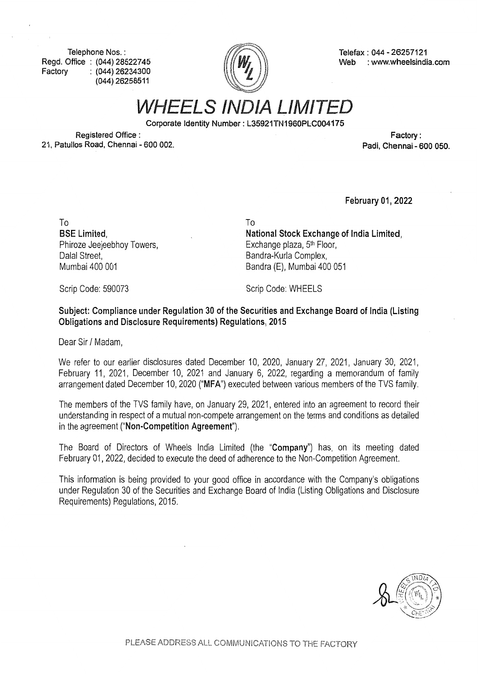**Telephone Nos. : Regd. Office : (044) 28522745 Factory : (044) 26234300 (044) 26258511** 



**Telefax : 044 - 26257121 Web : www.wheelsindia.com** 

*WHEELS IND/A LIMITED* 

**Corporate Identity Number: L35921TN1960PLC004175** 

To

**Registered Office : 21, Patullos Road, Chennai - 600 002.** 

**Factory: Padi, Chennai - 600 050.** 

**February 01, 2022** 

To **BSE Limited,**  Phiroze Jeejeebhoy Towers, Dalal Street, Mumbai 400 001

**National Stock Exchange of India Limited,**  Exchange plaza,  $5<sup>th</sup>$  Floor, Bandra-Kurla Complex, Sandra (E), Mumbai 400 051

Scrip Code: 590073

Scrip Code: WHEELS

**Subject: Compliance under Regulation 30 of the Securities and Exchange Board of India (Listing Obligations and Disclosure Requirements) Regulations, 2015** 

Dear Sir/ Madam,

We refer to our earlier disclosures dated December 10, 2020, January 27, 2021, January 30, 2021, February 11, 2021, December 10, 2021 and January 6, 2022, regarding a memorandum of family arrangement dated December 10, 2020 **("MFA")** executed between various members of the TVS family.

The members of the TVS family have, on January 29, 2021, entered into an· agreement to record their understanding in respect of a mutual non-compete arrangement on the terms and conditions as detailed in the agreement **("Non-Competition Agreement").** 

The Board of Directors of Wheels India Limited (the **"Company")** has, on its meeting dated February 01, 2022, decided to execute the deed of adherence to the Non-Competition Agreement.

This information is being provided to your good office in accordance with the Company's obligations under Regulation 30 of the Securities and Exchange Board of India (Listing Obligations and Disclosure Requirements) Regulations, 2015.

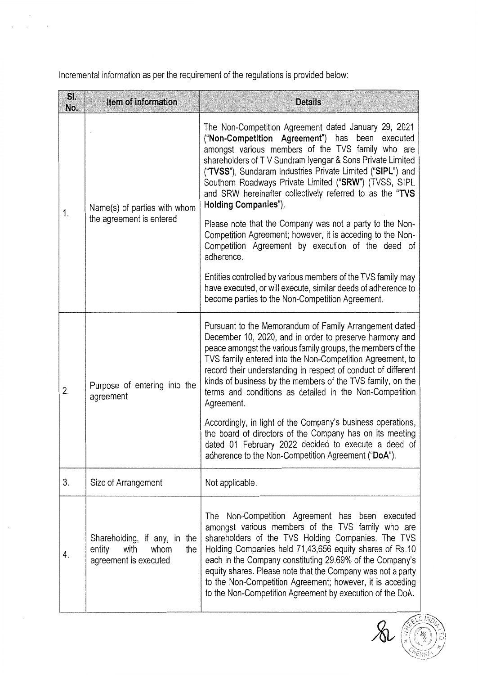Incremental information as per the requirement of the regulations is provided below:

 $\bar{\beta}$ 

| SI.<br>No. | Item of information                                                                    | <b>Details</b>                                                                                                                                                                                                                                                                                                                                                                                                                                                                |
|------------|----------------------------------------------------------------------------------------|-------------------------------------------------------------------------------------------------------------------------------------------------------------------------------------------------------------------------------------------------------------------------------------------------------------------------------------------------------------------------------------------------------------------------------------------------------------------------------|
| 1.         | Name(s) of parties with whom<br>the agreement is entered                               | The Non-Competition Agreement dated January 29, 2021<br>("Non-Competition Agreement") has been executed<br>amongst various members of the TVS family who are<br>shareholders of TV Sundram Iyengar & Sons Private Limited<br>("TVSS"), Sundaram Industries Private Limited ("SIPL") and<br>Southern Roadways Private Limited ("SRW") (TVSS, SIPL<br>and SRW hereinafter collectively referred to as the "TVS<br>Holding Companies").                                          |
|            |                                                                                        | Please note that the Company was not a party to the Non-<br>Competition Agreement; however, it is acceding to the Non-<br>Competition Agreement by execution of the deed of<br>adherence.                                                                                                                                                                                                                                                                                     |
|            |                                                                                        | Entities controlled by various members of the TVS family may<br>have executed, or will execute, similar deeds of adherence to<br>become parties to the Non-Competition Agreement.                                                                                                                                                                                                                                                                                             |
| 2.         | Purpose of entering into the<br>agreement                                              | Pursuant to the Memorandum of Family Arrangement dated<br>December 10, 2020, and in order to preserve harmony and<br>peace amongst the various family groups, the members of the<br>TVS family entered into the Non-Competition Agreement, to<br>record their understanding in respect of conduct of different<br>kinds of business by the members of the TVS family, on the<br>terms and conditions as detailed in the Non-Competition<br>Agreement.                         |
|            |                                                                                        | Accordingly, in light of the Company's business operations,<br>the board of directors of the Company has on its meeting<br>dated 01 February 2022 decided to execute a deed of<br>adherence to the Non-Competition Agreement ("DoA").                                                                                                                                                                                                                                         |
| 3.         | Size of Arrangement                                                                    | Not applicable.                                                                                                                                                                                                                                                                                                                                                                                                                                                               |
| 4.         | Shareholding, if any, in the<br>with<br>whom<br>the<br>entity<br>agreement is executed | Non-Competition Agreement has been executed<br>The<br>amongst various members of the TVS family who are<br>shareholders of the TVS Holding Companies. The TVS<br>Holding Companies held 71,43,656 equity shares of Rs.10<br>each in the Company constituting 29.69% of the Company's<br>equity shares. Please note that the Company was not a party<br>to the Non-Competition Agreement; however, it is acceding<br>to the Non-Competition Agreement by execution of the DoA. |

 $\&$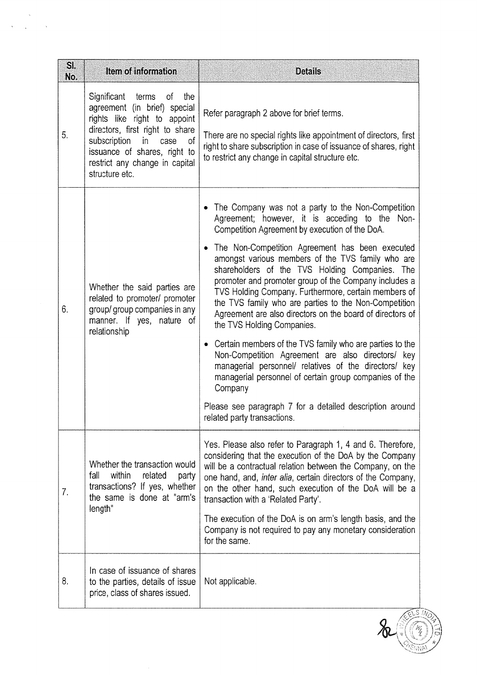| SI.<br>No. | Item of information                                                                                                                                                                                                                                 | <b>Details</b>                                                                                                                                                                                                                                                                                                                                                                                                                                                                                                                                                                                                                                                                                                                                                                                                                                                                                                                           |
|------------|-----------------------------------------------------------------------------------------------------------------------------------------------------------------------------------------------------------------------------------------------------|------------------------------------------------------------------------------------------------------------------------------------------------------------------------------------------------------------------------------------------------------------------------------------------------------------------------------------------------------------------------------------------------------------------------------------------------------------------------------------------------------------------------------------------------------------------------------------------------------------------------------------------------------------------------------------------------------------------------------------------------------------------------------------------------------------------------------------------------------------------------------------------------------------------------------------------|
| 5.         | Significant terms of<br>the<br>agreement (in brief) special<br>rights like right to appoint<br>directors, first right to share<br>subscription in<br>of<br>case<br>issuance of shares, right to<br>restrict any change in capital<br>structure etc. | Refer paragraph 2 above for brief terms.<br>There are no special rights like appointment of directors, first<br>right to share subscription in case of issuance of shares, right<br>to restrict any change in capital structure etc.                                                                                                                                                                                                                                                                                                                                                                                                                                                                                                                                                                                                                                                                                                     |
| 6.         | Whether the said parties are<br>related to promoter/ promoter<br>group/group companies in any<br>manner. If yes, nature of<br>relationship                                                                                                          | The Company was not a party to the Non-Competition<br>Agreement; however, it is acceding to the Non-<br>Competition Agreement by execution of the DoA.<br>The Non-Competition Agreement has been executed<br>٠<br>amongst various members of the TVS family who are<br>shareholders of the TVS Holding Companies. The<br>promoter and promoter group of the Company includes a<br>TVS Holding Company. Furthermore, certain members of<br>the TVS family who are parties to the Non-Competition<br>Agreement are also directors on the board of directors of<br>the TVS Holding Companies.<br>Certain members of the TVS family who are parties to the<br>٠<br>Non-Competition Agreement are also directors/ key<br>managerial personnel/ relatives of the directors/ key<br>managerial personnel of certain group companies of the<br>Company<br>Please see paragraph 7 for a detailed description around<br>related party transactions |
| 7.         | Whether the transaction would<br>within<br>related<br>fall<br>party<br>transactions? If yes, whether<br>the same is done at "arm's<br>length"                                                                                                       | Yes. Please also refer to Paragraph 1, 4 and 6. Therefore,<br>considering that the execution of the DoA by the Company<br>will be a contractual relation between the Company, on the<br>one hand, and, <i>inter alia</i> , certain directors of the Company,<br>on the other hand, such execution of the DoA will be a<br>transaction with a 'Related Party'.<br>The execution of the DoA is on arm's length basis, and the<br>Company is not required to pay any monetary consideration                                                                                                                                                                                                                                                                                                                                                                                                                                                 |
| 8.         | In case of issuance of shares<br>to the parties, details of issue<br>price, class of shares issued.                                                                                                                                                 | for the same.<br>Not applicable.                                                                                                                                                                                                                                                                                                                                                                                                                                                                                                                                                                                                                                                                                                                                                                                                                                                                                                         |

 $\hat{\mathbf{v}}$